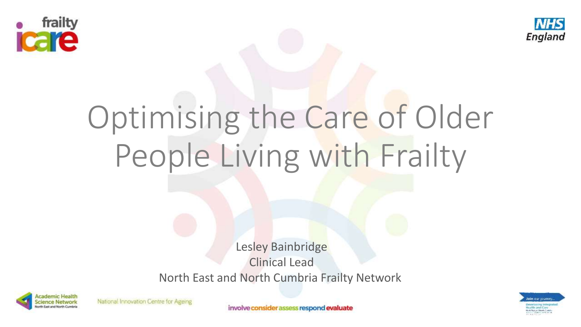



# Optimising the Care of Older People Living with Frailty

Lesley Bainbridge Clinical Lead North East and North Cumbria Frailty Network



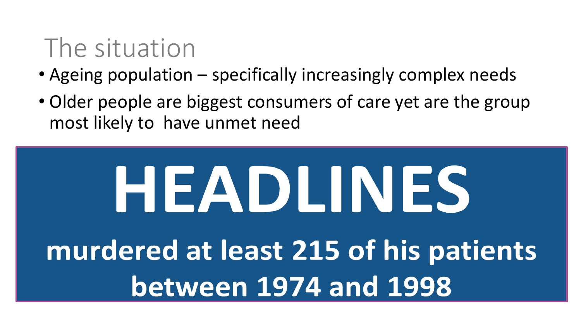#### The situation

- Ageing population specifically increasingly complex needs
- Older people are biggest consumers of care yet are the group most likely to have unmet need

# HEADLINES murdered at least 215 of his patients **between 1974 and 1998**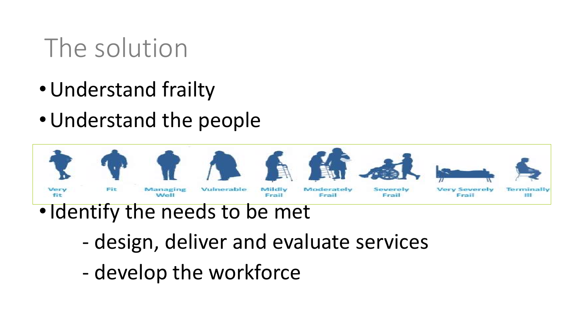### The solution

- •Understand frailty
- •Understand the people



- •Identify the needs to be met
	- design, deliver and evaluate services
	- develop the workforce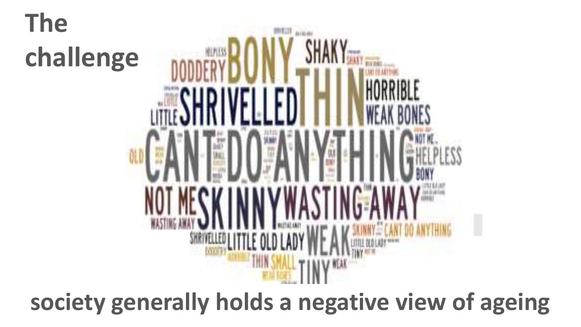## **The challenge**



#### **society generally holds a negative view of ageing**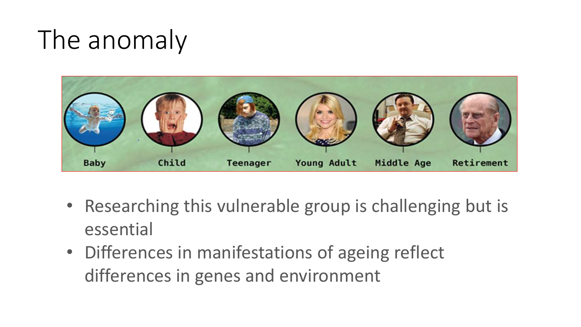#### The anomaly



- Researching this vulnerable group is challenging but is essential
- Differences in manifestations of ageing reflect differences in genes and environment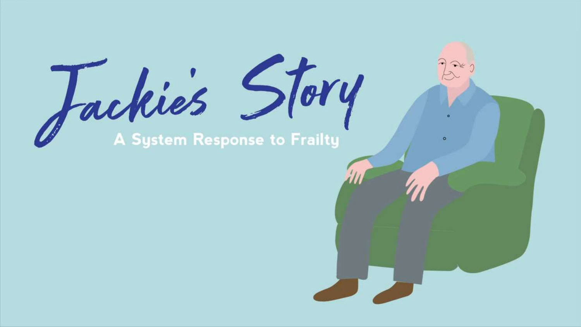Jackie's Story

 $\widehat{\phantom{a}}$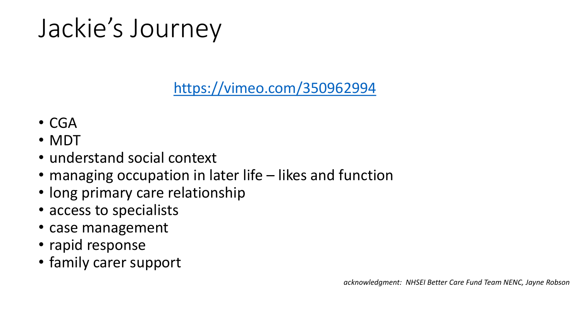## Jackie's Journey

<https://vimeo.com/350962994>

- CGA
- MDT
- understand social context
- managing occupation in later life likes and function
- long primary care relationship
- access to specialists
- case management
- rapid response
- family carer support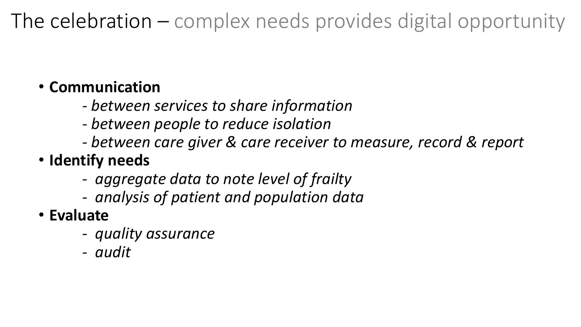#### The celebration – complex needs provides digital opportunity

#### • **Communication**

- *- between services to share information*
- *- between people to reduce isolation*
- *- between care giver & care receiver to measure, record & report*
- **Identify needs**
	- *aggregate data to note level of frailty*
	- *- analysis of patient and population data*
- **Evaluate** 
	- *quality assurance*
	- *- audit*